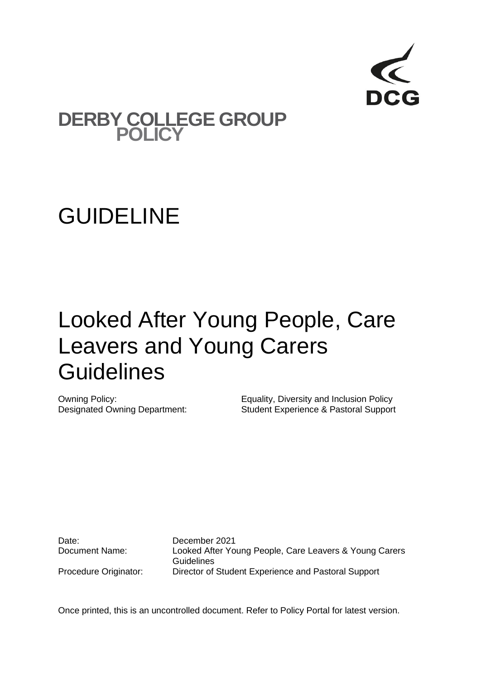

### **DERBY COLLEGE GROUP POLICY**

## GUIDELINE

# Looked After Young People, Care Leavers and Young Carers **Guidelines**

Owning Policy: Equality, Diversity and Inclusion Policy Designated Owning Department: Student Experience & Pastoral Support

Date: December 2021

Document Name: Looked After Young People, Care Leavers & Young Carers **Guidelines** Procedure Originator: Director of Student Experience and Pastoral Support

Once printed, this is an uncontrolled document. Refer to Policy Portal for latest version.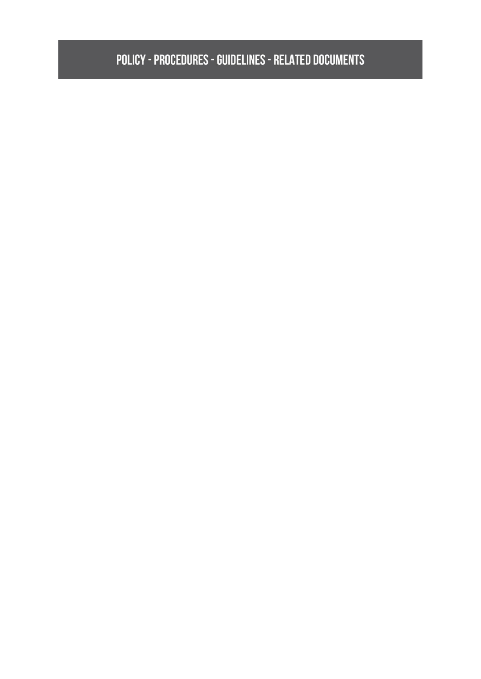### **POLICY - PROCEDURES - GUIDELINES - RELATED DOCUMENTS**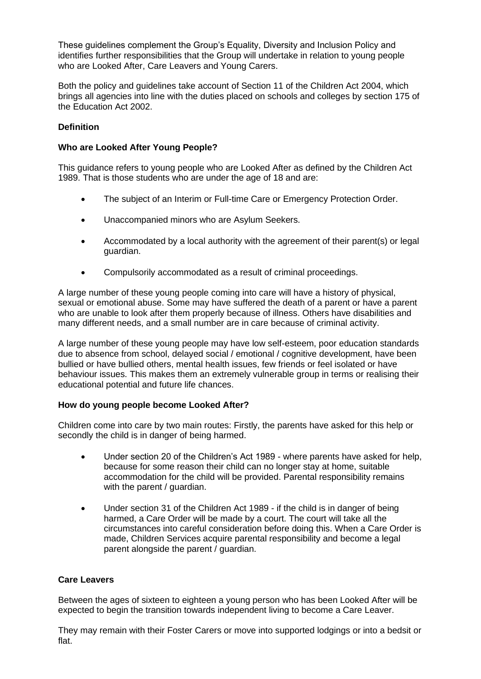These guidelines complement the Group's Equality, Diversity and Inclusion Policy and identifies further responsibilities that the Group will undertake in relation to young people who are Looked After, Care Leavers and Young Carers.

Both the policy and guidelines take account of Section 11 of the Children Act 2004, which brings all agencies into line with the duties placed on schools and colleges by section 175 of the Education Act 2002.

#### **Definition**

#### **Who are Looked After Young People?**

This guidance refers to young people who are Looked After as defined by the Children Act 1989. That is those students who are under the age of 18 and are:

- The subject of an Interim or Full-time Care or Emergency Protection Order.
- Unaccompanied minors who are Asylum Seekers.
- Accommodated by a local authority with the agreement of their parent(s) or legal guardian.
- Compulsorily accommodated as a result of criminal proceedings.

A large number of these young people coming into care will have a history of physical, sexual or emotional abuse. Some may have suffered the death of a parent or have a parent who are unable to look after them properly because of illness. Others have disabilities and many different needs, and a small number are in care because of criminal activity.

A large number of these young people may have low self-esteem, poor education standards due to absence from school, delayed social / emotional / cognitive development, have been bullied or have bullied others, mental health issues, few friends or feel isolated or have behaviour issues. This makes them an extremely vulnerable group in terms or realising their educational potential and future life chances.

#### **How do young people become Looked After?**

Children come into care by two main routes: Firstly, the parents have asked for this help or secondly the child is in danger of being harmed.

- Under section 20 of the Children's Act 1989 where parents have asked for help, because for some reason their child can no longer stay at home, suitable accommodation for the child will be provided. Parental responsibility remains with the parent / guardian.
- Under section 31 of the Children Act 1989 if the child is in danger of being harmed, a Care Order will be made by a court. The court will take all the circumstances into careful consideration before doing this. When a Care Order is made, Children Services acquire parental responsibility and become a legal parent alongside the parent / guardian.

#### **Care Leavers**

Between the ages of sixteen to eighteen a young person who has been Looked After will be expected to begin the transition towards independent living to become a Care Leaver.

They may remain with their Foster Carers or move into supported lodgings or into a bedsit or flat.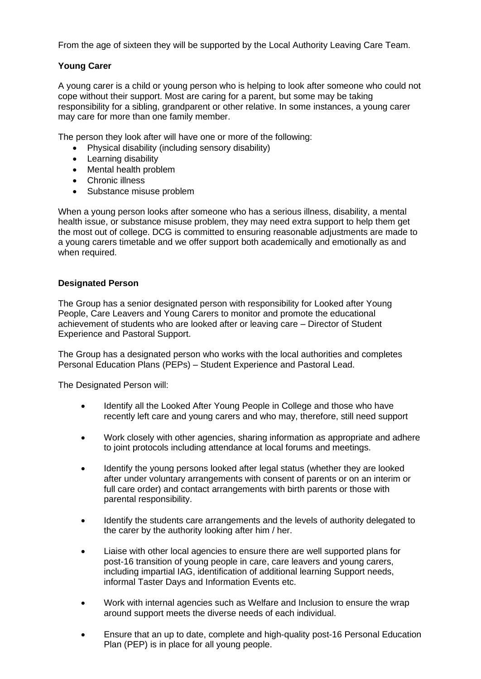From the age of sixteen they will be supported by the Local Authority Leaving Care Team.

#### **Young Carer**

A young carer is a child or young person who is helping to look after someone who could not cope without their support. Most are caring for a parent, but some may be taking responsibility for a sibling, grandparent or other relative. In some instances, a young carer may care for more than one family member.

The person they look after will have one or more of the following:

- Physical disability (including sensory disability)
- Learning disability
- Mental health problem
- Chronic illness
- Substance misuse problem

When a young person looks after someone who has a serious illness, disability, a mental health issue, or substance misuse problem, they may need extra support to help them get the most out of college. DCG is committed to ensuring reasonable adjustments are made to a young carers timetable and we offer support both academically and emotionally as and when required.

#### **Designated Person**

The Group has a senior designated person with responsibility for Looked after Young People, Care Leavers and Young Carers to monitor and promote the educational achievement of students who are looked after or leaving care – Director of Student Experience and Pastoral Support.

The Group has a designated person who works with the local authorities and completes Personal Education Plans (PEPs) – Student Experience and Pastoral Lead.

The Designated Person will:

- Identify all the Looked After Young People in College and those who have recently left care and young carers and who may, therefore, still need support
- Work closely with other agencies, sharing information as appropriate and adhere to joint protocols including attendance at local forums and meetings.
- Identify the young persons looked after legal status (whether they are looked after under voluntary arrangements with consent of parents or on an interim or full care order) and contact arrangements with birth parents or those with parental responsibility.
- Identify the students care arrangements and the levels of authority delegated to the carer by the authority looking after him / her.
- Liaise with other local agencies to ensure there are well supported plans for post-16 transition of young people in care, care leavers and young carers, including impartial IAG, identification of additional learning Support needs, informal Taster Days and Information Events etc.
- Work with internal agencies such as Welfare and Inclusion to ensure the wrap around support meets the diverse needs of each individual.
- Ensure that an up to date, complete and high-quality post-16 Personal Education Plan (PEP) is in place for all young people.